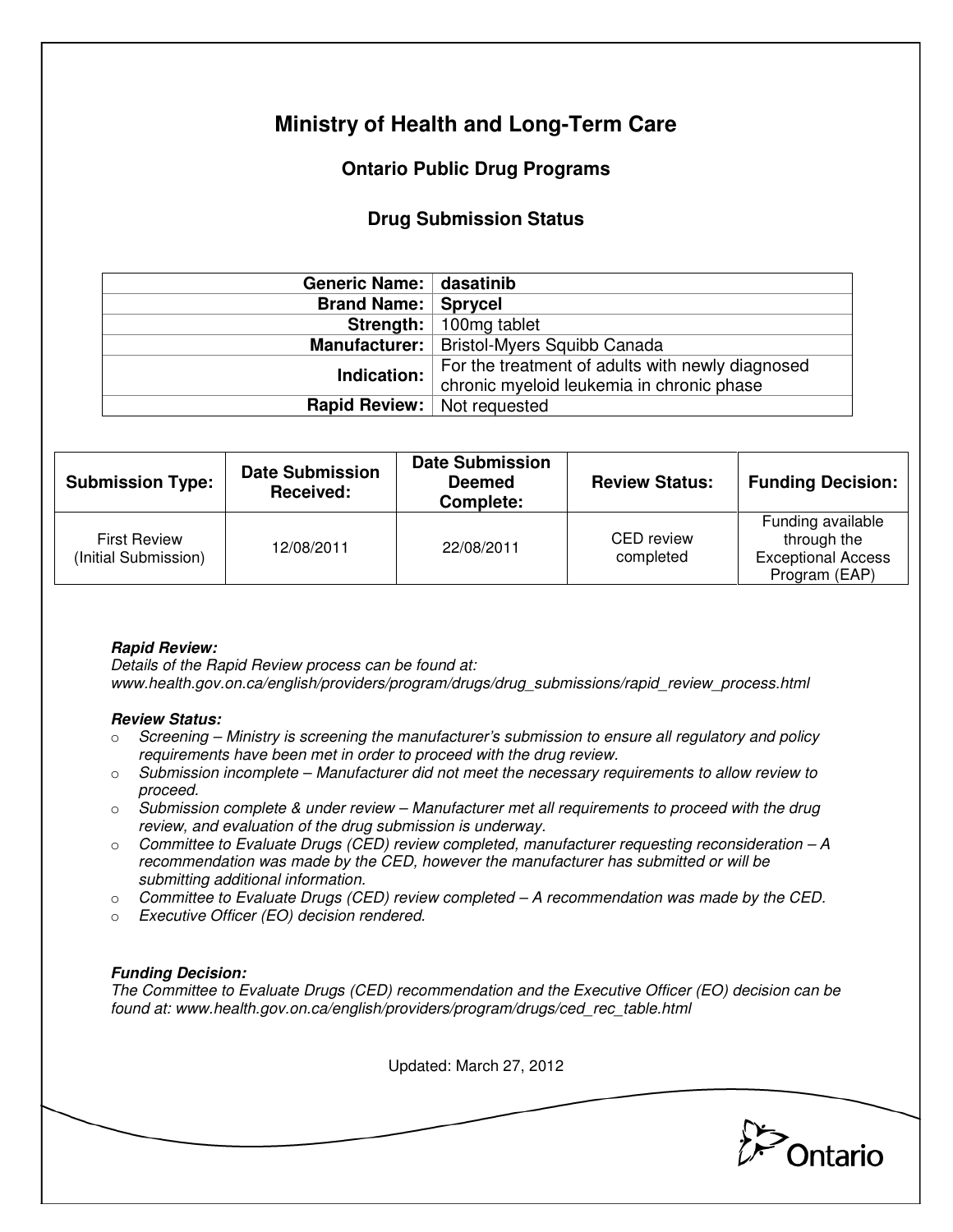# **Ministry of Health and Long-Term Care**

## **Ontario Public Drug Programs**

### **Drug Submission Status**

| Generic Name: dasatinib              |                                                                                               |  |  |
|--------------------------------------|-----------------------------------------------------------------------------------------------|--|--|
| <b>Brand Name:   Sprycel</b>         |                                                                                               |  |  |
|                                      | <b>Strength:</b>   100mg tablet                                                               |  |  |
|                                      | Manufacturer:   Bristol-Myers Squibb Canada                                                   |  |  |
| Indication:                          | For the treatment of adults with newly diagnosed<br>chronic myeloid leukemia in chronic phase |  |  |
| <b>Rapid Review:</b>   Not requested |                                                                                               |  |  |

| <b>Submission Type:</b>                     | <b>Date Submission</b><br>Received: | <b>Date Submission</b><br><b>Deemed</b><br>Complete: | <b>Review Status:</b>          | <b>Funding Decision:</b>                                                       |
|---------------------------------------------|-------------------------------------|------------------------------------------------------|--------------------------------|--------------------------------------------------------------------------------|
| <b>First Review</b><br>(Initial Submission) | 12/08/2011                          | 22/08/2011                                           | <b>CED</b> review<br>completed | Funding available<br>through the<br><b>Exceptional Access</b><br>Program (EAP) |

### **Rapid Review:**

Details of the Rapid Review process can be found at: www.health.gov.on.ca/english/providers/program/drugs/drug\_submissions/rapid\_review\_process.html

#### **Review Status:**

- $\circ$  Screening Ministry is screening the manufacturer's submission to ensure all regulatory and policy requirements have been met in order to proceed with the drug review.
- $\circ$  Submission incomplete Manufacturer did not meet the necessary requirements to allow review to proceed.
- $\circ$  Submission complete & under review Manufacturer met all requirements to proceed with the drug review, and evaluation of the drug submission is underway.
- $\circ$  Committee to Evaluate Drugs (CED) review completed, manufacturer requesting reconsideration  $-A$ recommendation was made by the CED, however the manufacturer has submitted or will be submitting additional information.
- $\circ$  Committee to Evaluate Drugs (CED) review completed A recommendation was made by the CED.
- o Executive Officer (EO) decision rendered.

### **Funding Decision:**

The Committee to Evaluate Drugs (CED) recommendation and the Executive Officer (EO) decision can be found at: www.health.gov.on.ca/english/providers/program/drugs/ced\_rec\_table.html

Updated: March 27, 2012 Ontario